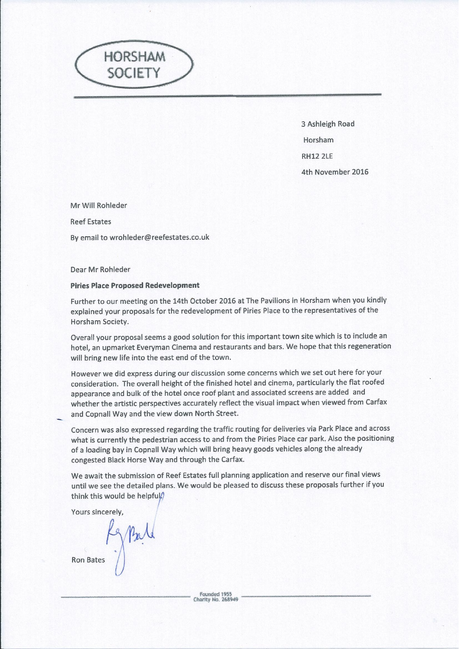

3 Ashleigh Road Horsham **RH12 2LE** 4th November 2016

Mr Will Rohleder

**Reef Estates** 

By email to wrohleder@reefestates.co.uk

Dear Mr Rohleder

## **Piries Place Proposed Redevelopment**

Further to our meeting on the 14th October 2016 at The Pavilions in Horsham when you kindly explained your proposals for the redevelopment of Piries Place to the representatives of the Horsham Society.

Overall your proposal seems a good solution for this important town site which is to include an hotel, an upmarket Everyman Cinema and restaurants and bars. We hope that this regeneration will bring new life into the east end of the town.

However we did express during our discussion some concerns which we set out here for your consideration. The overall height of the finished hotel and cinema, particularly the flat roofed appearance and bulk of the hotel once roof plant and associated screens are added and whether the artistic perspectives accurately reflect the visual impact when viewed from Carfax and Copnall Way and the view down North Street.

Concern was also expressed regarding the traffic routing for deliveries via Park Place and across what is currently the pedestrian access to and from the Piries Place car park. Also the positioning of a loading bay in Copnall Way which will bring heavy goods vehicles along the already congested Black Horse Way and through the Carfax.

We await the submission of Reef Estates full planning application and reserve our final views until we see the detailed plans. We would be pleased to discuss these proposals further if you think this would be helpful.

Yours sincerely.

**Ron Bates**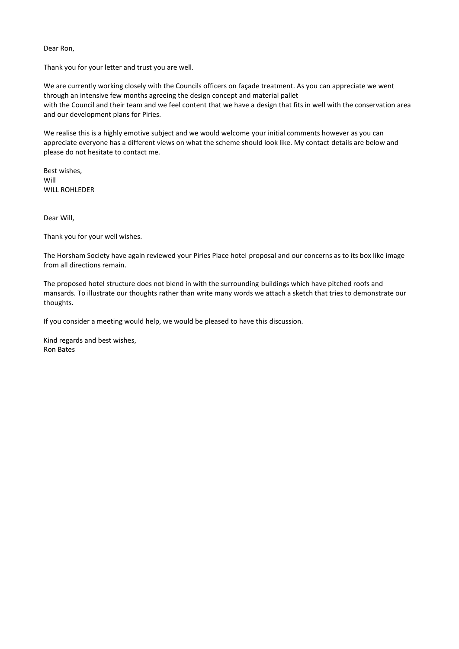Dear Ron,

Thank you for your letter and trust you are well.

We are currently working closely with the Councils officers on façade treatment. As you can appreciate we went through an intensive few months agreeing the design concept and material pallet with the Council and their team and we feel content that we have a design that fits in well with the conservation area and our development plans for Piries.

We realise this is a highly emotive subject and we would welcome your initial comments however as you can appreciate everyone has a different views on what the scheme should look like. My contact details are below and please do not hesitate to contact me.

Best wishes, Will WILL ROHLEDER

Dear Will,

Thank you for your well wishes.

The Horsham Society have again reviewed your Piries Place hotel proposal and our concerns as to its box like image from all directions remain.

The proposed hotel structure does not blend in with the surrounding buildings which have pitched roofs and mansards. To illustrate our thoughts rather than write many words we attach a sketch that tries to demonstrate our thoughts.

If you consider a meeting would help, we would be pleased to have this discussion.

Kind regards and best wishes, Ron Bates